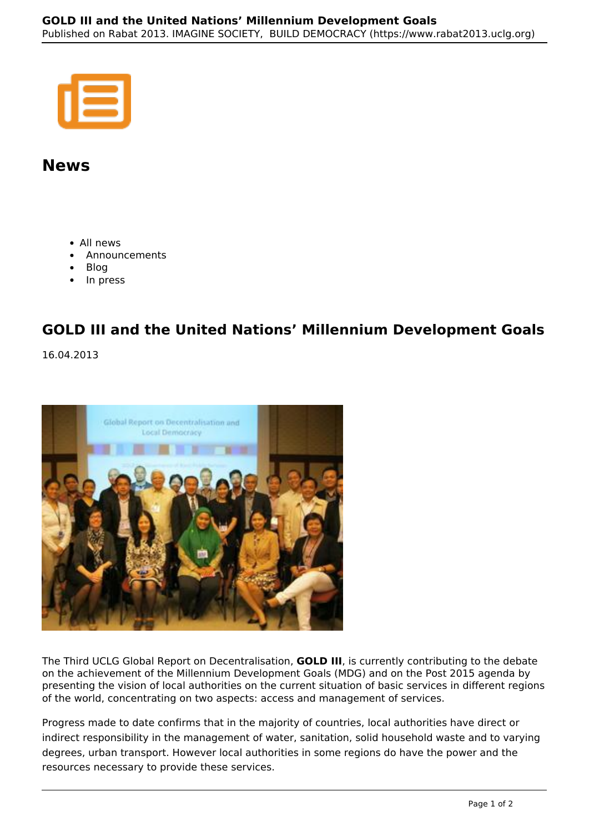## **News**

- All news
- Announcements
- Blog
- In press

## **GOLD III and the United Nations' Millennium Development Goals**

16.04.2013



The Third UCLG Global Report on Decentralisation, **GOLD III**, is currently contributing to the debate on the achievement of the Millennium Development Goals (MDG) and on the Post 2015 agenda by presenting the vision of local authorities on the current situation of basic services in different regions of the world, concentrating on two aspects: access and management of services.

Progress made to date confirms that in the majority of countries, local authorities have direct or indirect responsibility in the management of water, sanitation, solid household waste and to varying degrees, urban transport. However local authorities in some regions do have the power and the resources necessary to provide these services.